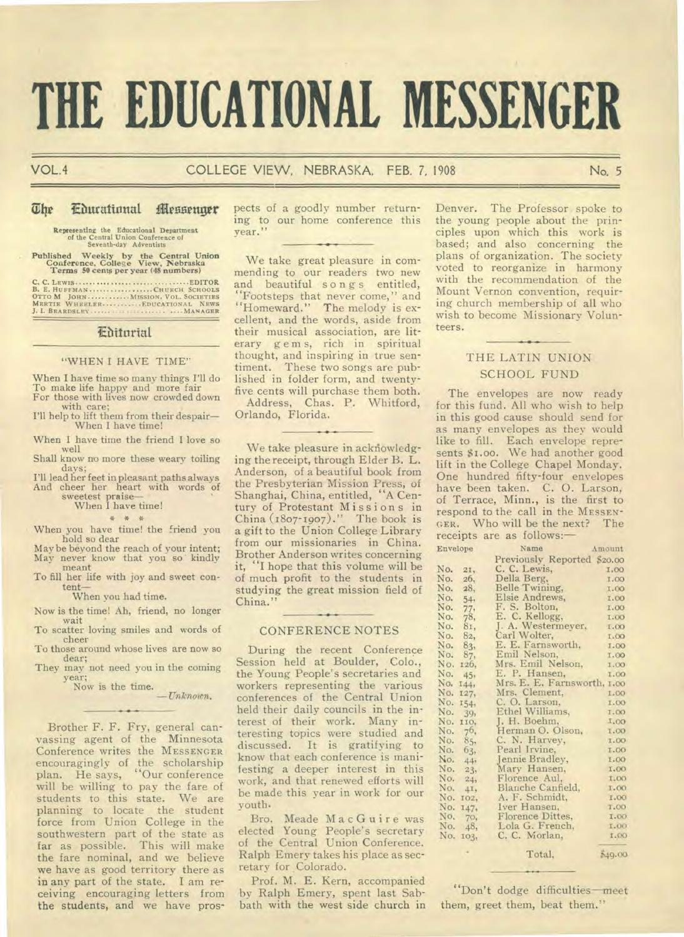# **THE EDUCATIONAL MESSENGER**

#### VOL.4 COLLEGE VIEW, NEBRASKA, FEB. 7, 1908 **No. 5**

#### **The** Eburational **iflessettritr**

**Representing the Educational Department of** the Central Union Conference of Seventh-day Adventists

## **Published Weekly by the Central Union Conference, College View, Nebraska Terms 50 cents per year (48 numbers)**

**C. C. LEWIS EDITOR B. E. HUFFMAN CHURCH SCHOOLS OTTO M JOHN MISSION. VOL. SOCIETIES MERTIE WHEELER EDUCATIONAL NEWS J. I. BEARDSLEY ...... ........ • • • • • MANAGER** 

### Ebitorial

#### "WHEN I HAVE TIME"

When I have time so many things I'll do To make life happy and more fair For those with lives now crowded down with care;

I'll help to lift them from their despair— When I have time!

When I have time the friend I love so well

Shall know no more these weary toiling days;

I'll lead her feet in pleasant paths always And cheer her heart with words of

sweetest praise— When I have time!

## \* \* \*

When you have time! the friend you hold so dear

May be beyond the reach of your intent; May never know that you so kindly meant

To fill her life with joy and sweet content—

When you had time.

Now is the time! Ah, friend, no longer wait

To scatter loving smiles and words of cheer

To those around whose lives are now so dear; They may not need you in the coming

year; Now is the time.

*— Unknown.* 

Brother F. F. Fry, general canvassing agent of the Minnesota Conference writes the **MESSENGER**  encouragingly of the scholarship plan. He says, "Our conference will be willing to pay the fare of students to this state. We are planning to locate the student force from Union College in the southwestern part of the state as far as possible. This will make the fare nominal, and we believe we have as good territory there as **in** any part of the state. I am receiving encouraging letters from the students, and we have pros-

pects of a goodly number returning to our home conference this year."

We take great pleasure in commending to our readers two new and beautiful songs entitled, "Footsteps that never come," and "Homeward." The melody is excellent, and the words, aside from their musical association, are literary g e m s, rich in spiritual thought, and inspiring in true sentiment. These two songs are published in folder form, and twentyfive cents will purchase them both. Address, Chas. P. Whitford,

Orlando, Florida.

We take pleasure in acknowledging the receipt, through Elder B. L. Anderson, of a beautiful book from the Presbyterian Mission Press, of Shanghai, China, entitled, "A Century of Protestant Missions in China  $(1807-1907)$ ." The book is a gift to the Union College Library from our missionaries in China. Brother Anderson writes concerning it, "I hope that this volume will be of much profit to the students in studying the great mission field of China."

#### CONFERENCE NOTES

During the recent Conference Session held at Boulder, Colo., the Young People's secretaries and workers representing the various conferences of the Central Union held their daily councils in the interest of their work. Many interesting topics were studied and discussed. It is gratifying to know that each conference is manifesting a deeper interest in this work, and that renewed efforts will be made this year in work for our youth.

Bro. Meade MacGuire was elected Young People's secretary of the Central Union Conference. Ralph Emery takes his place as secretary for Colorado.

Prof. M. E. Kern, accompanied by Ralph Emery, spent last Sabbath with the west side church in Denver. The Professor spoke to the young people about the principles upon which this work is based; and also concerning the plans of organization. The society voted to reorganize in harmony with the recommendation of the Mount Vernon convention, requiring church membership of all who wish to become Missionary Volunteers.

#### THE LATIN UNION SCHOOL FUND

The envelopes are now ready for this fund. All who wish to help in this good cause should send for as many envelopes as they would like to fill. Each envelope represents \$1.00. We had another good lift in the College Chapel Monday. One hundred fifty-four envelopes have been taken. C. 0. Larson, of Terrace, Minn., is the first to respond to the call in the **MESSEN-GER.** Who will be the next? The receipts are as follows:—

| Envelope |        | Name<br>Amount                    |             |
|----------|--------|-----------------------------------|-------------|
|          |        | Previously Reported \$20.00       |             |
| No.      | 21.    | C. C. Lewis,                      | I.OO        |
| No.      | 26,    | Della Berg,                       | 1.00        |
| No.      | 28,    | Belle Twining,                    | 1.00        |
| No.      | 54:    | Elsie Andrews,                    | <b>I.00</b> |
| No.      | 77:    | F. S. Bolton,                     | 1.00        |
| No.      | 78,    | E. C. Kellogg,                    | 1.00        |
| No.      | 81,    | J. A. Westermeyer,                | 1.00        |
| No.      | 82,    |                                   | 1.00        |
| No.      | 83,    | Carl Wolter,<br>E. E. Farnsworth, | 1.00        |
| No.      | 87,    | Emil Nelson,                      | <b>I.OO</b> |
| No.      | 126,   | Mrs. Emil Nelson,                 | 1.00        |
| No.      | 45,    | E. P. Hansen,                     | 1.00        |
| No.      | 144,   | Mrs. E. E. Farnsworth,            | 1.00        |
| No.      | 127,   | Mrs. Clement,                     | 1.00        |
| No.      | 154,   | C. O. Larson,                     | 1.00        |
| No.      | 39,    | Ethel Williams,                   | 1.00        |
| No.      | 110,   | J. H. Boehm,                      | 1.00        |
| No.      | 76,    | Herman O. Olson,                  | 1.00        |
| No.      | 85,    | C. N. Harvey,                     | 1.00        |
| No.      | 63,    | Pearl Irvine,                     | 1.00        |
| No.      | $-44,$ | Jennie Bradley,                   | 1.00        |
| No.      | 23,    | Mary Hansen,                      | <b>I.OO</b> |
| No.      | 24,    | Florence Aul,                     | 1.00        |
| No.      | 41,    | Blanche Canfield,                 | 1,00        |
| No.      | 102,   | A. F. Schmidt,                    | 1.00        |
| No.      | 147.   | Iver Hansen,                      | 1.00        |
| No.      | 70,    | Florence Dittes,                  | <b>I.OO</b> |
| No.      | 48,    | Lola G. French,                   | 1.00        |
| No.      | 103.   | C. C. Morlan,                     | 1.00        |
|          |        | Total,                            | 549.00      |

"Don't dodge difficulties—meet them, greet them, beat them."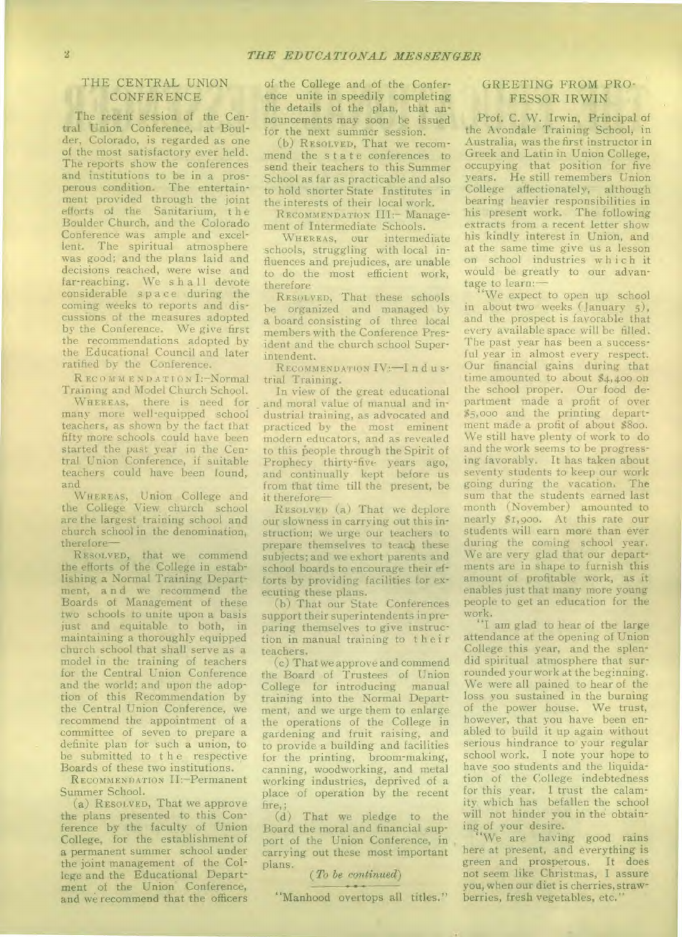#### THE CENTRAL UNION CONFERENCE

The recent session of the Central Union Conference, at Boulder, Colorado, is regarded as one of the most satisfactory ever held. The reports show the conferences and institutions to be in a prosperous condition. The entertainment provided through the joint efforts of the Sanitarium, the Boulder Church. and the Colorado Conference was ample and excellent. The spiritual atmosphere was good; and the plans laid and decisions reached, were wise and far-reaching. We s h a 11 devote considerable space during the coming weeks to reports and discussions of the measures adopted by the Conference. We give first the recommendations adopted by the Educational Council and later ratified by the Conference.

R ECOMMENDATIONL-NOrmal Training and Model Church School.

WHEREAS, there is need for many more well-equipped school teachers, as shown by the fact that fifty more schools could have been started the past year in the Central Union Conference, if suitable teachers could have been found, and

WHEREAS, Union College and the College View church school are the largest training school and church school in the denomination, therefore—

RESOLVED, that we commend the efforts of the College in establishing a Normal Training Department, a n d we recommend the Boards of Management of these two schools to unite upon a basis just and equitable to both, in maintaining a thoroughly equipped church school that shall serve as a model in the training of teachers for the Central Union Conference and the world; and upon the adoption of this Recommendation by the Central Union Conference, we recommend the appointment of a committee of seven to prepare a definite plan for such a union, to be submitted to the respective Boards of these two institutions.

RECOMMENDATION II:-Permanent Summer School.

(a) RESOLVED, That we approve the plans presented to this Conference by the faculty of Union College, for the establishment of a permanent summer school under the joint management of the College and the Educational Department of the Union Conference, and we recommend that the officers of the College and of the Conference unite in speedily completing the details of the plan, that announcements may soon be issued for the next summer session.

(b) RESOLVED, That we recommend the state conferences to send their teachers to this Summer School as far as practicable and also to hold shorter State Institutes in the interests of their local work.

RECOMMENDATION III: Management of Intermediate Schools.

WHEREAS, our intermediate schools, struggling with local influences and prejudices, are unable to do the most efficient work, therefore

RESOLVED, That these schools be organized and managed by a board consisting of three local members with the Conference President and the church school Superintendent.

RECOMMENDATION IV: - Industrial Training.

In view of the great educational and moral value of manual and industrial training, as advocated and practiced by the most eminent modern educators, and as revealed to this *People* through the Spirit of Prophecy thirty-five years ago, and continually kept before us from that time till the present, be it therefore—

RESOLVED (a) That we deplore our slowness in carrying out this instruction; we urge our teachers to prepare themselves to teach these subjects; and we exhort parents and school boards to encourage their efforts by providing facilities for executing these plans.

(b) That our State Conferences support their superintendents in preparing themselves to give instruction in manual training to their teachers.

(c) That we approve and commend the Board of Trustees of Union College for introducing manual training into the Normal Department, and we urge them to enlarge the operations of the College in gardening and fruit raising, and to provide a building and facilities for the printing, broom-making, canning, woodworking, and metal working industries, deprived of a place of operation by the recent fire,;

(d) That we pledge to the Board the moral and financial support of the Union Conference, in carrying out these most important plans.

#### ( *To be continued) •*

"Manhood overtops all titles."

#### GREETING FROM PRO-FESSOR IRWIN

Prof. C. W. Irwin, Principal of the Avondale Training School, in Australia, was the first instructor in Greek and Latin in Union College, occupying that position for five years. He still remembers Union College affectionately, although bearing heavier responsibilities in his present work. The following extracts from a recent letter show his kindly interest in Union, and at the same time give us a lesson on school industries which it would be greatly to our advantage to learn:—

"We expect to open up school in about two weeks (January 5), and the prospect is favorable that every available space will be filled. The past year has been a successful year in almost every respect. Our financial gains during that time amounted to about \$4,400 on the school proper. Our food department made a profit of over \$5,000 and the printing department made a profit of about \$800. We still have plenty of work to do and the work seems to be progressing favorably. It has taken about seventy students to keep our work going during the vacation. The sum that the students earned last month (November) amounted to nearly \$1,9oo. At this rate our students will earn more than ever during the coming school year. We are very glad that our departments are in shape to furnish this amount of profitable work, as it enables just that many more young people to get an education for the work.

"I am glad to hear of the large attendance at the opening of Union College this year, and the splendid spiritual atmosphere that surrounded your work at the beginning. We were all pained to hear of the loss you sustained in the burning of the power house. We trust, however, that you have been enabled to build it up again without serious hindrance to your regular school work. I note your hope to have 500 students and the liquidation of the College indebtedness for this year. I trust the calamity which has befallen the school will not hinder you in the obtaining of your desire.

"We are having good rains here at present, and everything is green and prosperous. It does not seem like Christmas, I assure you, when our diet is cherries, strawberries, fresh vegetables, etc."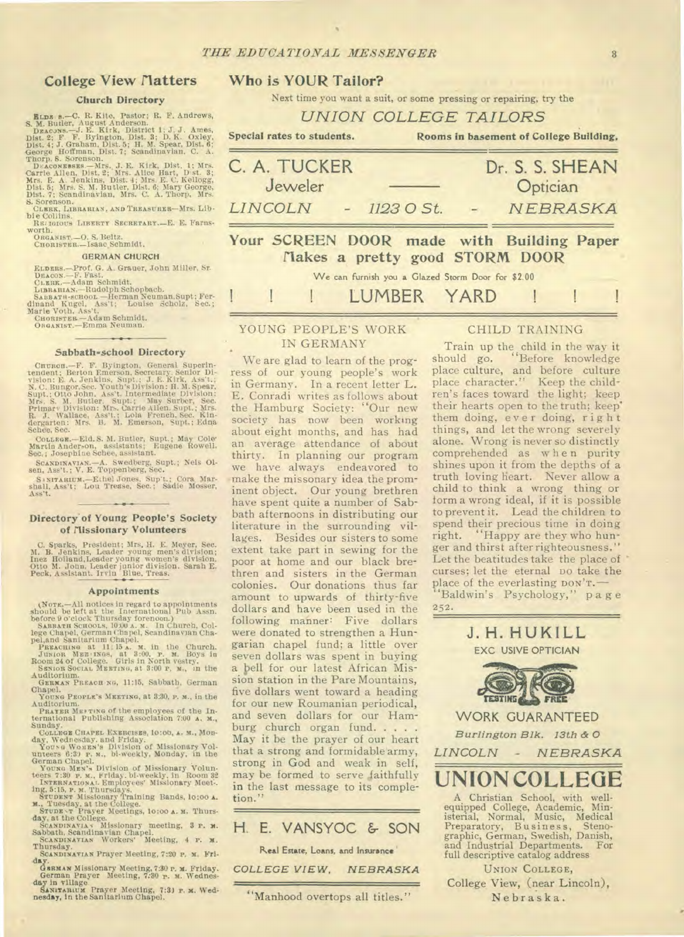#### **College View Matters**

#### **Church Directory**

ELDS 8.--C. R. Kite, Pastor; R. F. Andrews, S. M. Butler, August Anderson.<br>
Dzacows.--J. E. Kitk, Pastor; R. F. Andrews, Dzacows.--J. E. Kitk, District 1; J. J. Ames, Dist. 2; F. Nielgton, Dist. 3; D. K. Oxley, D. Gornson. S. Sorenson

S. SOUBSON, LIBRARIAN, AND TREASURER-MIS, Lib.<br>bie Collins. REAGURER SECRETARY.--E. E. FATRS-

WOTH.<br>
ORGANIST.-O. S. Beltz.<br>
CHORISTER.-ISaac Schmidt.

**GERMAN CHURCH** 

ELDERS.-Prof. G. A. Grauer, John Miller, Sr.<br>DEACON.-F. PRSI.<br>CLEER.-Adam Schmidt.<br>LIBRARIAN.--Rudolph Schopbach.<br>LIBRARIAN.--Rudolph Schopbach.<br>SAEBATH-SCHOOD.--Herman Neuman.Supt; Fer-<br>dinnan Kugel, Ass't; Louise Scholz,

#### Sabbath-school Directory

Curraci-F. F. Byington, General Superin-<br>tendent; Berton Emerson, Secretary Senior Di-<br>vision: E. A. Jenkins, Supt.; J. E. Kirk, Ass't.; N. C. Bungor, Secretary Senior Di-<br>N. C. Bungor, Sec. Youth's Division: H. M. Spear,<br> Schee, Sec.

COLLEGE.-Eld. S. M. Butler, Supt.; May Cole Martín Anderson, assistants; Eugene Rowell, Sec.; Josephine Schee, assistant.

SCANDINAVIAN.--A. Swedberg, Supt.; Nels Olsen, Ass't.; V. E. Toppenberg, Sec.<br>SCANDINAVIAN.--A. Swedberg, Sec.<br>Sanya Ass't.; Lou Trease, Sec.; Sadie Mosser, Ass't.; Lou Trease, Sec.; Sadie Mosser,

#### Directory of Young People's Society of Missionary Volunteers

C. Sparks, President; Mrs, H. E. Meyer, Sec. M. B. Jenkins, Leader young men's division; Inez Holland, Leader young women's division. Otto M. John, Leader junior division. Sarah E. Peck, Assistant. Irvin Blue, Treas.

#### Appointments

**Appointments**<br>
(Nork, All notices in regard to appointments<br>
should be left at the International Pub Assn.<br>
before 9 o'clock Thursday forenoon.)<br>
Saasara Sensons, 1930 a. x. In Church, Col-<br>
Saasara Sensons, 1930 a. x. I

Chapel.<br>
Youxe PEOPLE's MEETING, at 3:30, P. M., in the

Auditorium.<br>
PRATER METTING of the employees of the In-<br>
termational Publishing Association 7:00 A, M.,

Sunday.<br>COLLEGE CHAPEL EXERCISES, 10:00, A. M., MOR-

SCANDINAVIAN Prayer Meeting, 7:20 P. M. Fri-

Canna Missionary Meeting, 7:30 p. M. Friday.<br>Genman Prayer Meeting, 7:30 p. M. Wednes-<br>German Prayer Meeting, 7:30 p. M. Wednes-<br>Saxuranum Prayer Meeting, 7:31 p. M. Wednes-<br>Saxuranum Prayer Meeting, 7:31 p. M. Wednesday,

### Who is YOUR Tailor?

Next time you want a suit, or some pressing or repairing, try the

C. A. TUCKER Dr. S. S. SHEAN Jeweler Optician LINCOLN 1123 O St. NEBRASKA Your SCREEN DOOR made with Building Paper Makes a pretty good STORM DOOR

We can furnish you a Glazed Storm Door for \$2.00

YARD

LUMBER

#### YOUNG PEOPLE'S WORK IN GERMANY

We are glad to learn of the progress of our young people's work in Germany. In a recent letter L. E. Conradi writes as follows about the Hamburg Society: "Our new society has now been working about eight months, and has had an average attendance of about thirty. In planning our program we have always endeavored to make the missonary idea the prominent object. Our young brethren have spent quite a number of Sabbath afternoons in distributing our literature in the surrounding villages. Besides our sisters to some extent take part in sewing for the poor at home and our black brethren and sisters in the German colonies. Our donations thus far amount to upwards of thirty-five dollars and have been used in the following manner: Five dollars were donated to strengthen a Hungarian chapel fund; a little over seven dollars was spent in buying a bell for our latest African Mission station in the Pare Mountains, five dollars went toward a heading for our new Roumanian periodical, and seven dollars for our Hamburg church organ fund..... May it be the prayer of our heart that a strong and formidable army, strong in God and weak in self, may be formed to serve faithfully in the last message to its completion."

H. E. VANSYOC & SON Real Estate, Loans, and Insurance

"Manhood overtops all titles."

NEBRASKA

COLLEGE VIEW.

#### **CHILD TRAINING**

Rooms in basement of College Building,

Train up the child in the way it<br>ould go, "Before knowledge should go. place culture, and before culture place character." Keep the children's faces toward the light; keep their hearts open to the truth; keep' them doing, ever doing, right things, and let the wrong severely alone. Wrong is never so distinctly comprehended as when purity shines upon it from the depths of a truth loving heart. Never allow a child to think a wrong thing or form a wrong ideal, if it is possible to prevent it. Lead the children to spend their precious time in doing right. "Happy are they who hunger and thirst after righteousness." Let the beatitudes take the place of curses; let the eternal po take the place of the everlasting DON'T. 'Baldwin's Psychology," page

 $252.$ 

J. H. HUKILL

**EXC USIVE OPTICIAN** 

UNION COLLEGE, College View, (near Lincoln), Nebraska.

UNION COLLEGE TAILORS

Special rates to students.

 $\overline{\mathbf{3}}$